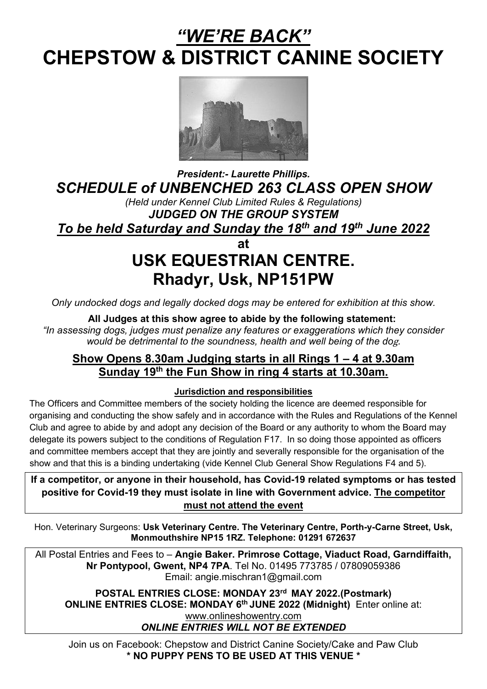# *"WE'RE BACK"*  **CHEPSTOW & DISTRICT CANINE SOCIETY**



*President:- Laurette Phillips. SCHEDULE of UNBENCHED 263 CLASS OPEN SHOW*

*(Held under Kennel Club Limited Rules & Regulations) JUDGED ON THE GROUP SYSTEM To be held Saturday and Sunday the 18th and 19th June 2022* 

 **at** 

# **USK EQUESTRIAN CENTRE. Rhadyr, Usk, NP151PW**

*Only undocked dogs and legally docked dogs may be entered for exhibition at this show.*

#### **All Judges at this show agree to abide by the following statement:**

*"In assessing dogs, judges must penalize any features or exaggerations which they consider would be detrimental to the soundness, health and well being of the do*g.

#### **Show Opens 8.30am Judging starts in all Rings 1 – 4 at 9.30am Sunday 19th the Fun Show in ring 4 starts at 10.30am.**

#### **Jurisdiction and responsibilities**

The Officers and Committee members of the society holding the licence are deemed responsible for organising and conducting the show safely and in accordance with the Rules and Regulations of the Kennel Club and agree to abide by and adopt any decision of the Board or any authority to whom the Board may delegate its powers subject to the conditions of Regulation F17. In so doing those appointed as officers and committee members accept that they are jointly and severally responsible for the organisation of the show and that this is a binding undertaking (vide Kennel Club General Show Regulations F4 and 5).

**If a competitor, or anyone in their household, has Covid-19 related symptoms or has tested positive for Covid-19 they must isolate in line with Government advice. The competitor must not attend the event**

Hon. Veterinary Surgeons: **Usk Veterinary Centre. The Veterinary Centre, Porth-y-Carne Street, Usk, Monmouthshire NP15 1RZ. Telephone: 01291 672637**

All Postal Entries and Fees to – **Angie Baker. Primrose Cottage, Viaduct Road, Garndiffaith, Nr Pontypool, Gwent, NP4 7PA**. Tel No. 01495 773785 / 07809059386 Email: angie.mischran1@gmail.com

**POSTAL ENTRIES CLOSE: MONDAY 23rd MAY 2022.(Postmark) ONLINE ENTRIES CLOSE: MONDAY 6th JUNE 2022 (Midnight)** Enter online at: [www.onlineshowentry.com](http://www.onlineshowentry.com/)

*ONLINE ENTRIES WILL NOT BE EXTENDED*

Join us on Facebook: Chepstow and District Canine Society/Cake and Paw Club **\* NO PUPPY PENS TO BE USED AT THIS VENUE \***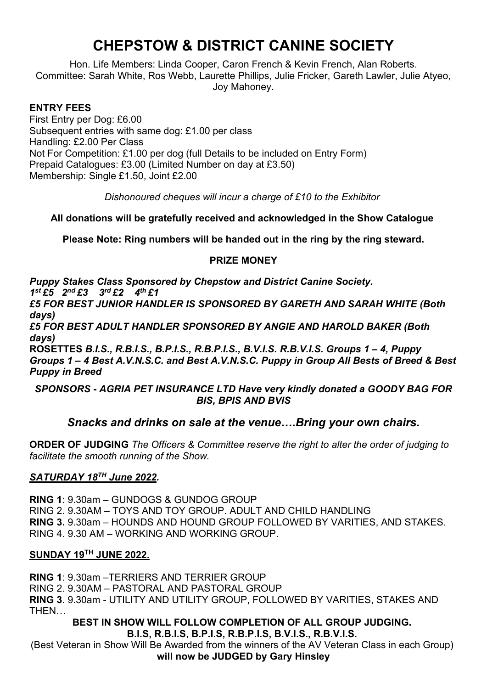## **CHEPSTOW & DISTRICT CANINE SOCIETY**

Hon. Life Members: Linda Cooper, Caron French & Kevin French, Alan Roberts. Committee: Sarah White, Ros Webb, Laurette Phillips, Julie Fricker, Gareth Lawler, Julie Atyeo, Joy Mahoney.

#### **ENTRY FEES**

First Entry per Dog: £6.00 Subsequent entries with same dog: £1.00 per class Handling: £2.00 Per Class Not For Competition: £1.00 per dog (full Details to be included on Entry Form) Prepaid Catalogues: £3.00 (Limited Number on day at £3.50) Membership: Single £1.50, Joint £2.00

*Dishonoured cheques will incur a charge of £10 to the Exhibitor* 

**All donations will be gratefully received and acknowledged in the Show Catalogue** 

**Please Note: Ring numbers will be handed out in the ring by the ring steward.**

#### **PRIZE MONEY**

*Puppy Stakes Class Sponsored by Chepstow and District Canine Society. 1st £5 2nd £3 3rd £2 4th £1 £5 FOR BEST JUNIOR HANDLER IS SPONSORED BY GARETH AND SARAH WHITE (Both days)*

*£5 FOR BEST ADULT HANDLER SPONSORED BY ANGIE AND HAROLD BAKER (Both days)*

**ROSETTES** *B.I.S., R.B.I.S., B.P.I.S., R.B.P.I.S., B.V.I.S. R.B.V.I.S. Groups 1 – 4, Puppy Groups 1 – 4 Best A.V.N.S.C. and Best A.V.N.S.C. Puppy in Group All Bests of Breed & Best Puppy in Breed*

#### *SPONSORS - AGRIA PET INSURANCE LTD Have very kindly donated a GOODY BAG FOR BIS, BPIS AND BVIS*

#### *Snacks and drinks on sale at the venue….Bring your own chairs.*

**ORDER OF JUDGING** *The Officers & Committee reserve the right to alter the order of judging to facilitate the smooth running of the Show.* 

#### *SATURDAY 18TH June 2022.*

**RING 1**: 9.30am – GUNDOGS & GUNDOG GROUP RING 2. 9.30AM – TOYS AND TOY GROUP. ADULT AND CHILD HANDLING **RING 3.** 9.30am – HOUNDS AND HOUND GROUP FOLLOWED BY VARITIES, AND STAKES. RING 4. 9.30 AM – WORKING AND WORKING GROUP.

#### **SUNDAY 19TH JUNE 2022.**

**RING 1**: 9.30am –TERRIERS AND TERRIER GROUP RING 2. 9.30AM – PASTORAL AND PASTORAL GROUP **RING 3.** 9.30am - UTILITY AND UTILITY GROUP, FOLLOWED BY VARITIES, STAKES AND THEN…

#### **BEST IN SHOW WILL FOLLOW COMPLETION OF ALL GROUP JUDGING. B.I.S, R.B.I.S**, **B.P.I.S, R.B.P.I.S, B.V.I.S., R.B.V.I.S.**

(Best Veteran in Show Will Be Awarded from the winners of the AV Veteran Class in each Group) **will now be JUDGED by Gary Hinsley**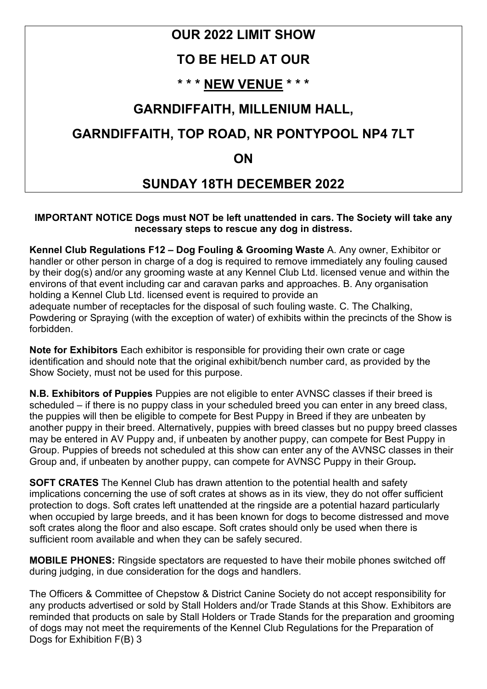## **OUR 2022 LIMIT SHOW**

## **TO BE HELD AT OUR**

## **\* \* \* NEW VENUE \* \* \***

## **GARNDIFFAITH, MILLENIUM HALL,**

## **GARNDIFFAITH, TOP ROAD, NR PONTYPOOL NP4 7LT**

### **ON**

## **SUNDAY 18TH DECEMBER 2022**

#### **IMPORTANT NOTICE Dogs must NOT be left unattended in cars. The Society will take any necessary steps to rescue any dog in distress.**

**Kennel Club Regulations F12 – Dog Fouling & Grooming Waste** A. Any owner, Exhibitor or handler or other person in charge of a dog is required to remove immediately any fouling caused by their dog(s) and/or any grooming waste at any Kennel Club Ltd. licensed venue and within the environs of that event including car and caravan parks and approaches. B. Any organisation holding a Kennel Club Ltd. licensed event is required to provide an adequate number of receptacles for the disposal of such fouling waste. C. The Chalking, Powdering or Spraying (with the exception of water) of exhibits within the precincts of the Show is forbidden.

**Note for Exhibitors** Each exhibitor is responsible for providing their own crate or cage identification and should note that the original exhibit/bench number card, as provided by the Show Society, must not be used for this purpose.

**N.B. Exhibitors of Puppies** Puppies are not eligible to enter AVNSC classes if their breed is scheduled – if there is no puppy class in your scheduled breed you can enter in any breed class, the puppies will then be eligible to compete for Best Puppy in Breed if they are unbeaten by another puppy in their breed. Alternatively, puppies with breed classes but no puppy breed classes may be entered in AV Puppy and, if unbeaten by another puppy, can compete for Best Puppy in Group. Puppies of breeds not scheduled at this show can enter any of the AVNSC classes in their Group and, if unbeaten by another puppy, can compete for AVNSC Puppy in their Group*.* 

**SOFT CRATES** The Kennel Club has drawn attention to the potential health and safety implications concerning the use of soft crates at shows as in its view, they do not offer sufficient protection to dogs. Soft crates left unattended at the ringside are a potential hazard particularly when occupied by large breeds, and it has been known for dogs to become distressed and move soft crates along the floor and also escape. Soft crates should only be used when there is sufficient room available and when they can be safely secured.

**MOBILE PHONES:** Ringside spectators are requested to have their mobile phones switched off during judging, in due consideration for the dogs and handlers.

The Officers & Committee of Chepstow & District Canine Society do not accept responsibility for any products advertised or sold by Stall Holders and/or Trade Stands at this Show. Exhibitors are reminded that products on sale by Stall Holders or Trade Stands for the preparation and grooming of dogs may not meet the requirements of the Kennel Club Regulations for the Preparation of Dogs for Exhibition F(B) 3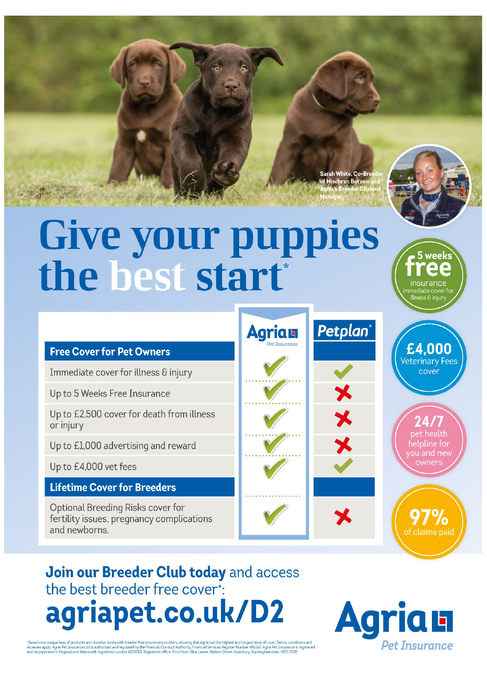Sarah White, Co-Bre



# Give your puppies<br>the best start\*

#### **Free Cover for Pet Owners**

Immediate cover for illness & injury

Up to 5 Weeks Free Insurance

Up to £2,500 cover for death from illness or injury

Up to £1,000 advertising and reward

Up to £4,000 vet fees

#### **Lifetime Cover for Breeders**

Optional Breeding Risks cover for fertility issues, pregnancy complications and newborns.



bet health helpline for ou and new owners

of claims paid

£4.000

Veterinary Fees

cover

Join our Breeder Club today and access the best breeder free cover\*: agriapet.co.uk/D2

"Based on a comparison of products and duration levels with breeder free insurance providers, showing that Agria had the highest and longest level of cover. Terms, conditions and<br>excesses apply. Agria Pet Insurance itdi is

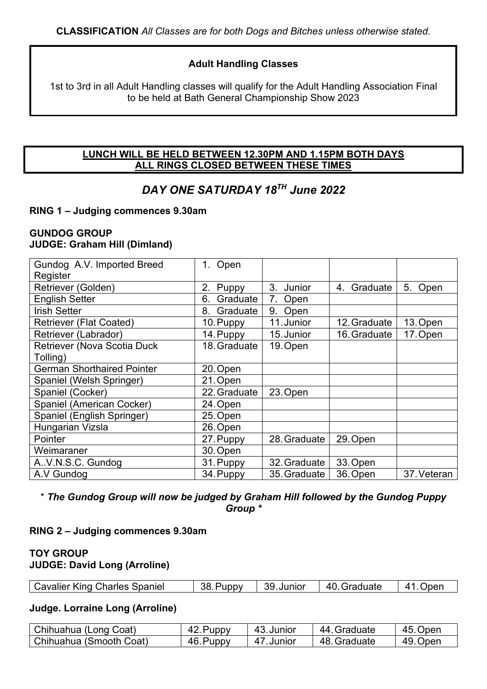#### **Adult Handling Classes**

1st to 3rd in all Adult Handling classes will qualify for the Adult Handling Association Final to be held at Bath General Championship Show 2023

#### **LUNCH WILL BE HELD BETWEEN 12.30PM AND 1.15PM BOTH DAYS ALL RINGS CLOSED BETWEEN THESE TIMES**

#### *DAY ONE SATURDAY 18TH June 2022*

#### **RING 1 – Judging commences 9.30am**

#### **GUNDOG GROUP JUDGE: Graham Hill (Dimland)**

| Gundog A.V. Imported Breed         | 1. Open        |              |                |             |
|------------------------------------|----------------|--------------|----------------|-------------|
| Register                           |                |              |                |             |
| Retriever (Golden)                 | 2.<br>Puppy    | 3.<br>Junior | Graduate<br>4. | 5.<br>Open  |
| <b>English Setter</b>              | Graduate<br>6. | 7.<br>Open   |                |             |
| <b>Irish Setter</b>                | Graduate<br>8. | 9.<br>Open   |                |             |
| <b>Retriever (Flat Coated)</b>     | 10. Puppy      | 11. Junior   | 12. Graduate   | 13. Open    |
| Retriever (Labrador)               | 14. Puppy      | 15. Junior   | 16. Graduate   | 17. Open    |
| <b>Retriever (Nova Scotia Duck</b> | 18. Graduate   | 19. Open     |                |             |
| Tolling)                           |                |              |                |             |
| <b>German Shorthaired Pointer</b>  | 20. Open       |              |                |             |
| Spaniel (Welsh Springer)           | 21. Open       |              |                |             |
| Spaniel (Cocker)                   | 22. Graduate   | 23. Open     |                |             |
| Spaniel (American Cocker)          | 24. Open       |              |                |             |
| Spaniel (English Springer)         | 25. Open       |              |                |             |
| Hungarian Vizsla                   | 26. Open       |              |                |             |
| Pointer                            | 27. Puppy      | 28. Graduate | 29. Open       |             |
| Weimaraner                         | 30. Open       |              |                |             |
| A.V.N.S.C. Gundog                  | 31. Puppy      | 32. Graduate | 33. Open       |             |
| A.V Gundog                         | 34. Puppy      | 35. Graduate | 36. Open       | 37. Veteran |

\* *The Gundog Group will now be judged by Graham Hill followed by the Gundog Puppy Group \** 

#### **RING 2 – Judging commences 9.30am**

#### **TOY GROUP JUDGE: David Long (Arroline)**

#### **Judge. Lorraine Long (Arroline)**

| Chihuahua (Long Coat)      | 42. Puppy | 43 Junior  | 44.Graduate  | 45. Open |
|----------------------------|-----------|------------|--------------|----------|
| l Chihuahua (Smooth Coat). | 46. Puppy | 47. Junior | 48. Graduate | 49. Open |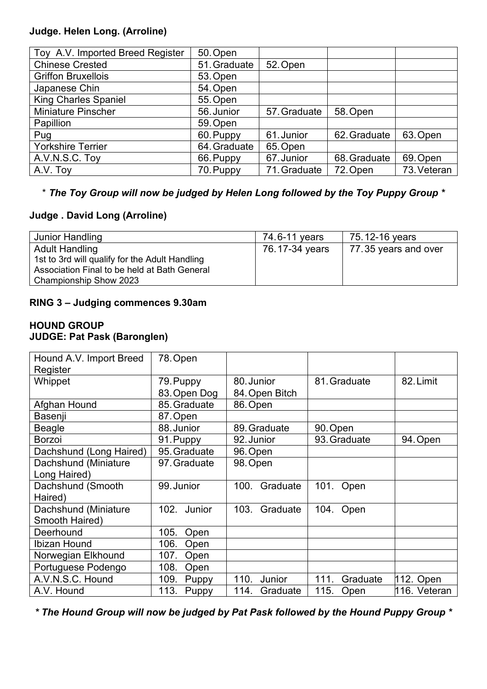#### **Judge. Helen Long. (Arroline)**

| Toy A.V. Imported Breed Register | 50. Open     |              |              |             |
|----------------------------------|--------------|--------------|--------------|-------------|
| <b>Chinese Crested</b>           | 51. Graduate | 52. Open     |              |             |
| <b>Griffon Bruxellois</b>        | 53. Open     |              |              |             |
| Japanese Chin                    | 54. Open     |              |              |             |
| <b>King Charles Spaniel</b>      | 55. Open     |              |              |             |
| <b>Miniature Pinscher</b>        | 56. Junior   | 57. Graduate | 58. Open     |             |
| Papillion                        | 59. Open     |              |              |             |
| Pug                              | 60. Puppy    | 61. Junior   | 62. Graduate | 63. Open    |
| <b>Yorkshire Terrier</b>         | 64. Graduate | 65. Open     |              |             |
| A.V.N.S.C. Toy                   | 66. Puppy    | 67. Junior   | 68. Graduate | 69. Open    |
| A.V. Toy                         | 70. Puppy    | 71. Graduate | 72. Open     | 73. Veteran |

#### \* *The Toy Group will now be judged by Helen Long followed by the Toy Puppy Group \**

#### **Judge . David Long (Arroline)**

| Junior Handling                                                                                                                                   | 74.6-11 years  | 75.12-16 years       |
|---------------------------------------------------------------------------------------------------------------------------------------------------|----------------|----------------------|
| <b>Adult Handling</b><br>1st to 3rd will qualify for the Adult Handling<br>Association Final to be held at Bath General<br>Championship Show 2023 | 76.17-34 years | 77.35 years and over |

#### **RING 3 – Judging commences 9.30am**

#### **HOUND GROUP JUDGE: Pat Pask (Baronglen)**

| Hound A.V. Import Breed | 78. Open             |                  |                  |              |
|-------------------------|----------------------|------------------|------------------|--------------|
| Register                |                      |                  |                  |              |
| Whippet                 | 79. Puppy            | 80. Junior       | 81. Graduate     | 82. Limit    |
|                         | 83. Open Dog         | 84. Open Bitch   |                  |              |
| Afghan Hound            | 85. Graduate         | 86. Open         |                  |              |
| Basenji                 | 87. Open             |                  |                  |              |
| <b>Beagle</b>           | 88. Junior           | 89. Graduate     | 90. Open         |              |
| <b>Borzoi</b>           | 91. Puppy            | 92. Junior       | 93. Graduate     | 94. Open     |
| Dachshund (Long Haired) | 95. Graduate         | 96. Open         |                  |              |
| Dachshund (Miniature    | 97. Graduate         | 98. Open         |                  |              |
| Long Haired)            |                      |                  |                  |              |
| Dachshund (Smooth       | 99. Junior           | Graduate<br>100. | 101.<br>Open     |              |
| Haired)                 |                      |                  |                  |              |
| Dachshund (Miniature    | 102.<br>Junior       | Graduate<br>103. | 104.<br>Open     |              |
| Smooth Haired)          |                      |                  |                  |              |
| Deerhound               | 105.<br>Open         |                  |                  |              |
| <b>Ibizan Hound</b>     | 106.<br>Open         |                  |                  |              |
| Norwegian Elkhound      | 107.<br>Open         |                  |                  |              |
| Portuguese Podengo      | 108.<br>Open         |                  |                  |              |
| A.V.N.S.C. Hound        | 109.<br>Puppy        | 110.<br>Junior   | 111.<br>Graduate | 112. Open    |
| A.V. Hound              | 113.<br><b>Puppy</b> | 114.<br>Graduate | 115.<br>Open     | 116. Veteran |

*\* The Hound Group will now be judged by Pat Pask followed by the Hound Puppy Group \**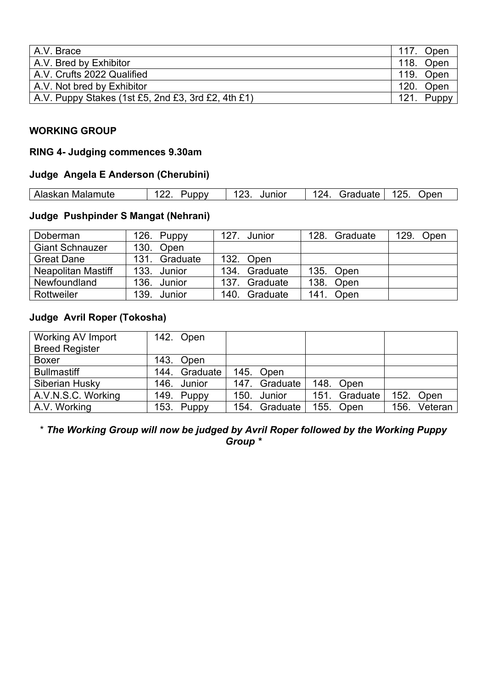| A.V. Brace                                         | 117.<br>Open  |
|----------------------------------------------------|---------------|
| A.V. Bred by Exhibitor                             | 118.<br>Open  |
| A.V. Crufts 2022 Qualified                         | 119. Open     |
| A.V. Not bred by Exhibitor                         | 120.<br>Open  |
| A.V. Puppy Stakes (1st £5, 2nd £3, 3rd £2, 4th £1) | 121.<br>Puppy |

#### **WORKING GROUP**

#### **RING 4- Judging commences 9.30am**

#### **Judge Angela E Anderson (Cherubini)**

|  | Alaskan<br>Malamute | unnv | 1 ຕ ຕ<br>lunior<br>JUL. | 12 $\Delta$<br>Graduate | 125<br>)nen<br>$\sim$ |
|--|---------------------|------|-------------------------|-------------------------|-----------------------|
|--|---------------------|------|-------------------------|-------------------------|-----------------------|

#### **Judge Pushpinder S Mangat (Nehrani)**

| Doberman                  | 126. Puppy       | 127.<br>Junior               | Graduate<br>128. | 129.<br>Open |
|---------------------------|------------------|------------------------------|------------------|--------------|
| <b>Giant Schnauzer</b>    | 130. Open        |                              |                  |              |
| <b>Great Dane</b>         | 131.<br>Graduate | 132.<br>Open                 |                  |              |
| <b>Neapolitan Mastiff</b> | 133. Junior      | 134.<br>Graduate             | 135. Open        |              |
| Newfoundland              | 136. Junior      | Graduate<br>137 <sub>1</sub> | 138.<br>Open     |              |
| Rottweiler                | 139.<br>Junior   | 140.<br>Graduate             | 141<br>Open      |              |

#### **Judge Avril Roper (Tokosha)**

| Working AV Import     |      | 142. Open   |               |               |      |         |
|-----------------------|------|-------------|---------------|---------------|------|---------|
| <b>Breed Register</b> |      |             |               |               |      |         |
| <b>Boxer</b>          |      | 143. Open   |               |               |      |         |
| <b>Bullmastiff</b>    | 144. | Graduate    | 145. Open     |               |      |         |
| Siberian Husky        |      | 146. Junior | 147. Graduate | 148. Open     |      |         |
| A.V.N.S.C. Working    | 149. | Puppy       | 150. Junior   | 151. Graduate | 152. | Open    |
| A.V. Working          |      | 153. Puppy  | 154. Graduate | 155. Open     | 156. | Veteran |

\* *The Working Group will now be judged by Avril Roper followed by the Working Puppy Group \**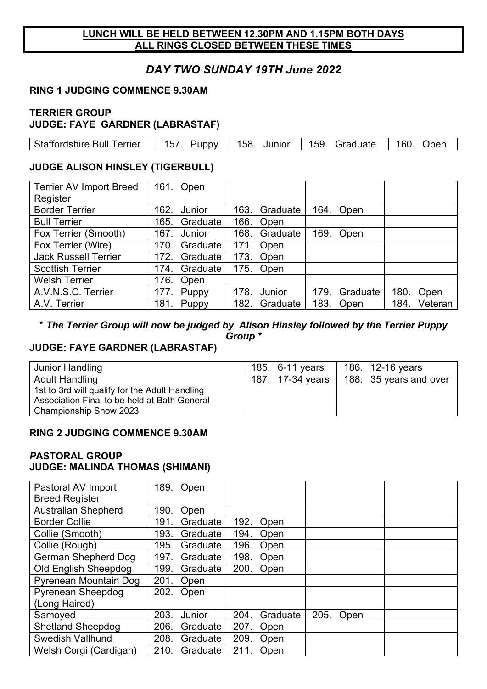#### **LUNCH WILL BE HELD BETWEEN 12.30PM AND 1.15PM BOTH DAYS ALL RINGS CLOSED BETWEEN THESE TIMES**

#### *DAY TWO SUNDAY 19TH June 2022*

#### **RING 1 JUDGING COMMENCE 9.30AM**

#### **TERRIER GROUP JUDGE: FAYE GARDNER (LABRASTAF)**

| Staffordshire Bull | 157.         | 158    | 159.     | 160  |
|--------------------|--------------|--------|----------|------|
| Ferrier            | <b>Puppy</b> | Junior | Graduate | )nen |
|                    |              |        |          |      |

#### **JUDGE ALISON HINSLEY (TIGERBULL)**

| <b>Terrier AV Import Breed</b> |      | 161. Open     |      |           |      |           |      |         |
|--------------------------------|------|---------------|------|-----------|------|-----------|------|---------|
| Register                       |      |               |      |           |      |           |      |         |
| <b>Border Terrier</b>          |      | 162. Junior   | 163. | Graduate  |      | 164. Open |      |         |
| <b>Bull Terrier</b>            | 165. | Graduate      | 166. | Open      |      |           |      |         |
| Fox Terrier (Smooth)           | 167. | Junior        | 168. | Graduate  |      | 169. Open |      |         |
| Fox Terrier (Wire)             | 170. | Graduate      |      | 171. Open |      |           |      |         |
| <b>Jack Russell Terrier</b>    | 172. | Graduate      | 173. | Open      |      |           |      |         |
| <b>Scottish Terrier</b>        |      | 174. Graduate |      | 175. Open |      |           |      |         |
| <b>Welsh Terrier</b>           | 176. | Open          |      |           |      |           |      |         |
| A.V.N.S.C. Terrier             | 177. | Puppy         | 178. | Junior    | 179. | Graduate  | 180. | Open    |
| A.V. Terrier                   | 181. | Puppy         | 182. | Graduate  | 183. | Open      | 184. | Veteran |

#### \* *The Terrier Group will now be judged by Alison Hinsley followed by the Terrier Puppy Group \**

#### **JUDGE: FAYE GARDNER (LABRASTAF)**

| Junior Handling                                | 185. 6-11 years  | 186. 12-16 years       |
|------------------------------------------------|------------------|------------------------|
| <b>Adult Handling</b>                          | 187. 17-34 years | 188. 35 years and over |
| 1st to 3rd will qualify for the Adult Handling |                  |                        |
| Association Final to be held at Bath General   |                  |                        |
| Championship Show 2023                         |                  |                        |

#### **RING 2 JUDGING COMMENCE 9.30AM**

#### *P***ASTORAL GROUP JUDGE: MALINDA THOMAS (SHIMANI)**

| Pastoral AV Import          |      | 189. Open |      |          |      |      |  |
|-----------------------------|------|-----------|------|----------|------|------|--|
| <b>Breed Register</b>       |      |           |      |          |      |      |  |
| <b>Australian Shepherd</b>  | 190. | Open      |      |          |      |      |  |
| <b>Border Collie</b>        | 191. | Graduate  | 192. | Open     |      |      |  |
| Collie (Smooth)             | 193. | Graduate  | 194. | Open     |      |      |  |
| Collie (Rough)              | 195. | Graduate  | 196. | Open     |      |      |  |
| <b>German Shepherd Dog</b>  | 197. | Graduate  | 198. | Open     |      |      |  |
| <b>Old English Sheepdog</b> | 199. | Graduate  | 200. | Open     |      |      |  |
| Pyrenean Mountain Dog       | 201. | Open      |      |          |      |      |  |
| <b>Pyrenean Sheepdog</b>    | 202. | Open      |      |          |      |      |  |
| (Long Haired)               |      |           |      |          |      |      |  |
| Samoyed                     | 203. | Junior    | 204. | Graduate | 205. | Open |  |
| <b>Shetland Sheepdog</b>    | 206. | Graduate  | 207. | Open     |      |      |  |
| <b>Swedish Vallhund</b>     | 208. | Graduate  | 209. | Open     |      |      |  |
| Welsh Corgi (Cardigan)      | 210. | Graduate  | 211. | Open     |      |      |  |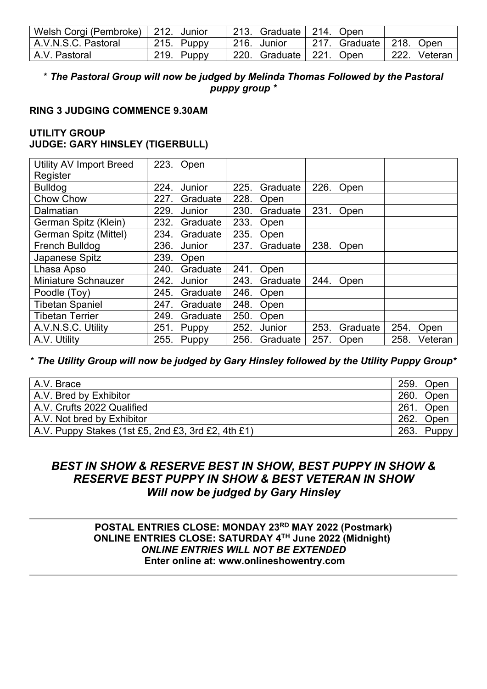| Welsh Corgi (Pembroke)   212. Junior |            | 213. Graduate   214. Open |                           |                 |
|--------------------------------------|------------|---------------------------|---------------------------|-----------------|
| A.V.N.S.C. Pastoral                  | 215. Puppy | 216. Junior               | 217. Graduate   218. Open |                 |
| A.V. Pastoral                        | 219. Puppy | 220. Graduate   221. Open |                           | _222. Veteran l |

#### \* *The Pastoral Group will now be judged by Melinda Thomas Followed by the Pastoral puppy group \**

#### **RING 3 JUDGING COMMENCE 9.30AM**

#### **UTILITY GROUP JUDGE: GARY HINSLEY (TIGERBULL)**

| <b>Utility AV Import Breed</b><br>Register | 223. | Open     |      |          |      |          |      |         |
|--------------------------------------------|------|----------|------|----------|------|----------|------|---------|
| <b>Bulldog</b>                             | 224. | Junior   | 225. | Graduate | 226. | Open     |      |         |
| <b>Chow Chow</b>                           | 227. | Graduate | 228. | Open     |      |          |      |         |
| Dalmatian                                  | 229. | Junior   | 230. | Graduate | 231. | Open     |      |         |
| German Spitz (Klein)                       | 232. | Graduate | 233. | Open     |      |          |      |         |
| German Spitz (Mittel)                      | 234. | Graduate | 235. | Open     |      |          |      |         |
| French Bulldog                             | 236. | Junior   | 237. | Graduate | 238. | Open     |      |         |
| Japanese Spitz                             | 239. | Open     |      |          |      |          |      |         |
| Lhasa Apso                                 | 240. | Graduate | 241. | Open     |      |          |      |         |
| <b>Miniature Schnauzer</b>                 | 242. | Junior   | 243. | Graduate | 244. | Open     |      |         |
| Poodle (Toy)                               | 245. | Graduate | 246. | Open     |      |          |      |         |
| <b>Tibetan Spaniel</b>                     | 247. | Graduate | 248. | Open     |      |          |      |         |
| <b>Tibetan Terrier</b>                     | 249. | Graduate | 250. | Open     |      |          |      |         |
| A.V.N.S.C. Utility                         | 251. | Puppy    | 252. | Junior   | 253. | Graduate | 254. | Open    |
| A.V. Utility                               | 255. | Puppy    | 256. | Graduate | 257. | Open     | 258. | Veteran |

\* *The Utility Group will now be judged by Gary Hinsley followed by the Utility Puppy Group\**

| A.V. Brace                                         | 259. | Open  |
|----------------------------------------------------|------|-------|
| A.V. Bred by Exhibitor                             | 260. | Open  |
| A.V. Crufts 2022 Qualified                         | 261. | Open  |
| A.V. Not bred by Exhibitor                         | 262. | Open  |
| A.V. Puppy Stakes (1st £5, 2nd £3, 3rd £2, 4th £1) | 263. | Puppy |

#### *BEST IN SHOW & RESERVE BEST IN SHOW, BEST PUPPY IN SHOW & RESERVE BEST PUPPY IN SHOW & BEST VETERAN IN SHOW Will now be judged by Gary Hinsley*

#### **POSTAL ENTRIES CLOSE: MONDAY 23RD MAY 2022 (Postmark) ONLINE ENTRIES CLOSE: SATURDAY 4TH June 2022 (Midnight)**  *ONLINE ENTRIES WILL NOT BE EXTENDED* **Enter online at: www.onlineshowentry.com**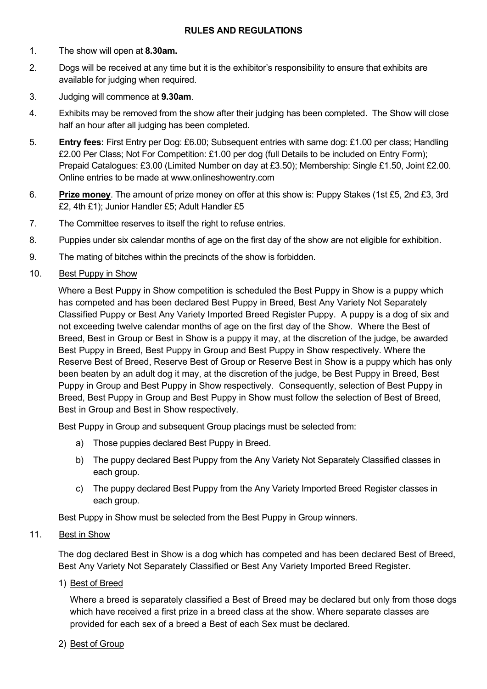#### **RULES AND REGULATIONS**

- 1. The show will open at **8.30am.**
- 2. Dogs will be received at any time but it is the exhibitor's responsibility to ensure that exhibits are available for judging when required.
- 3. Judging will commence at **9.30am**.
- 4. Exhibits may be removed from the show after their judging has been completed. The Show will close half an hour after all judging has been completed.
- 5. **Entry fees:** First Entry per Dog: £6.00; Subsequent entries with same dog: £1.00 per class; Handling £2.00 Per Class; Not For Competition: £1.00 per dog (full Details to be included on Entry Form); Prepaid Catalogues: £3.00 (Limited Number on day at £3.50); Membership: Single £1.50, Joint £2.00. Online entries to be made at www.onlineshowentry.com
- 6. **Prize money**. The amount of prize money on offer at this show is: Puppy Stakes (1st £5, 2nd £3, 3rd £2, 4th £1); Junior Handler £5; Adult Handler £5
- 7. The Committee reserves to itself the right to refuse entries.
- 8. Puppies under six calendar months of age on the first day of the show are not eligible for exhibition.
- 9. The mating of bitches within the precincts of the show is forbidden.
- 10. Best Puppy in Show

Where a Best Puppy in Show competition is scheduled the Best Puppy in Show is a puppy which has competed and has been declared Best Puppy in Breed, Best Any Variety Not Separately Classified Puppy or Best Any Variety Imported Breed Register Puppy. A puppy is a dog of six and not exceeding twelve calendar months of age on the first day of the Show. Where the Best of Breed, Best in Group or Best in Show is a puppy it may, at the discretion of the judge, be awarded Best Puppy in Breed, Best Puppy in Group and Best Puppy in Show respectively. Where the Reserve Best of Breed, Reserve Best of Group or Reserve Best in Show is a puppy which has only been beaten by an adult dog it may, at the discretion of the judge, be Best Puppy in Breed, Best Puppy in Group and Best Puppy in Show respectively. Consequently, selection of Best Puppy in Breed, Best Puppy in Group and Best Puppy in Show must follow the selection of Best of Breed, Best in Group and Best in Show respectively.

Best Puppy in Group and subsequent Group placings must be selected from:

- a) Those puppies declared Best Puppy in Breed.
- b) The puppy declared Best Puppy from the Any Variety Not Separately Classified classes in each group.
- c) The puppy declared Best Puppy from the Any Variety Imported Breed Register classes in each group.

Best Puppy in Show must be selected from the Best Puppy in Group winners.

#### 11. Best in Show

The dog declared Best in Show is a dog which has competed and has been declared Best of Breed, Best Any Variety Not Separately Classified or Best Any Variety Imported Breed Register.

1) Best of Breed

Where a breed is separately classified a Best of Breed may be declared but only from those dogs which have received a first prize in a breed class at the show. Where separate classes are provided for each sex of a breed a Best of each Sex must be declared.

2) Best of Group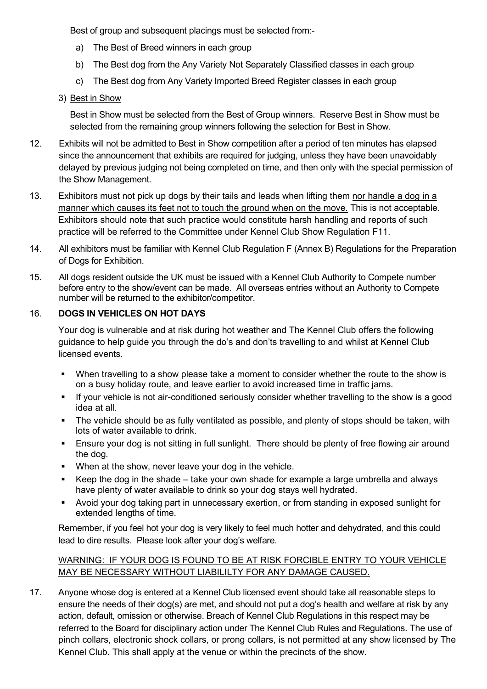Best of group and subsequent placings must be selected from:-

- a) The Best of Breed winners in each group
- b) The Best dog from the Any Variety Not Separately Classified classes in each group
- c) The Best dog from Any Variety Imported Breed Register classes in each group

#### 3) Best in Show

Best in Show must be selected from the Best of Group winners. Reserve Best in Show must be selected from the remaining group winners following the selection for Best in Show.

- 12. Exhibits will not be admitted to Best in Show competition after a period of ten minutes has elapsed since the announcement that exhibits are required for judging, unless they have been unavoidably delayed by previous judging not being completed on time, and then only with the special permission of the Show Management.
- 13. Exhibitors must not pick up dogs by their tails and leads when lifting them nor handle a dog in a manner which causes its feet not to touch the ground when on the move. This is not acceptable. Exhibitors should note that such practice would constitute harsh handling and reports of such practice will be referred to the Committee under Kennel Club Show Regulation F11.
- 14. All exhibitors must be familiar with Kennel Club Regulation F (Annex B) Regulations for the Preparation of Dogs for Exhibition.
- 15. All dogs resident outside the UK must be issued with a Kennel Club Authority to Compete number before entry to the show/event can be made. All overseas entries without an Authority to Compete number will be returned to the exhibitor/competitor.

#### 16. **DOGS IN VEHICLES ON HOT DAYS**

Your dog is vulnerable and at risk during hot weather and The Kennel Club offers the following guidance to help guide you through the do's and don'ts travelling to and whilst at Kennel Club licensed events.

- When travelling to a show please take a moment to consider whether the route to the show is on a busy holiday route, and leave earlier to avoid increased time in traffic jams.
- If your vehicle is not air-conditioned seriously consider whether travelling to the show is a good idea at all.
- The vehicle should be as fully ventilated as possible, and plenty of stops should be taken, with lots of water available to drink.
- **Ensure your dog is not sitting in full sunlight. There should be plenty of free flowing air around** the dog.
- **•** When at the show, never leave your dog in the vehicle.
- Keep the dog in the shade take your own shade for example a large umbrella and always have plenty of water available to drink so your dog stays well hydrated.
- Avoid your dog taking part in unnecessary exertion, or from standing in exposed sunlight for extended lengths of time.

Remember, if you feel hot your dog is very likely to feel much hotter and dehydrated, and this could lead to dire results. Please look after your dog's welfare.

#### WARNING: IF YOUR DOG IS FOUND TO BE AT RISK FORCIBLE ENTRY TO YOUR VEHICLE MAY BE NECESSARY WITHOUT LIABILILTY FOR ANY DAMAGE CAUSED.

17. Anyone whose dog is entered at a Kennel Club licensed event should take all reasonable steps to ensure the needs of their dog(s) are met, and should not put a dog's health and welfare at risk by any action, default, omission or otherwise. Breach of Kennel Club Regulations in this respect may be referred to the Board for disciplinary action under The Kennel Club Rules and Regulations. The use of pinch collars, electronic shock collars, or prong collars, is not permitted at any show licensed by The Kennel Club. This shall apply at the venue or within the precincts of the show.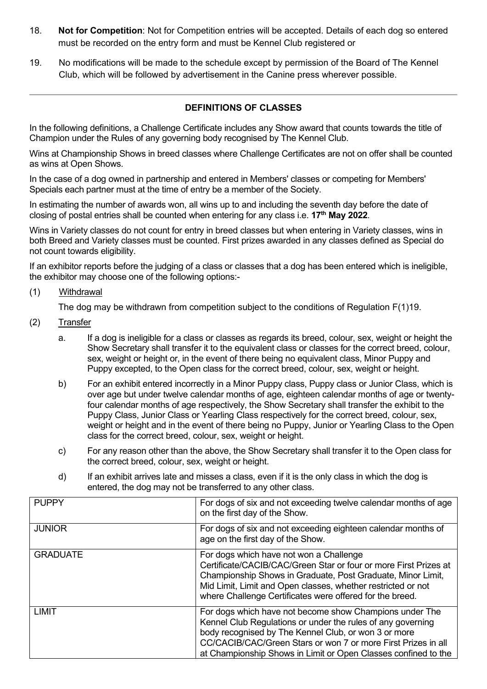- 18. **Not for Competition**: Not for Competition entries will be accepted. Details of each dog so entered must be recorded on the entry form and must be Kennel Club registered or
- 19. No modifications will be made to the schedule except by permission of the Board of The Kennel Club, which will be followed by advertisement in the Canine press wherever possible.

#### **DEFINITIONS OF CLASSES**

In the following definitions, a Challenge Certificate includes any Show award that counts towards the title of Champion under the Rules of any governing body recognised by The Kennel Club.

Wins at Championship Shows in breed classes where Challenge Certificates are not on offer shall be counted as wins at Open Shows.

In the case of a dog owned in partnership and entered in Members' classes or competing for Members' Specials each partner must at the time of entry be a member of the Society.

In estimating the number of awards won, all wins up to and including the seventh day before the date of closing of postal entries shall be counted when entering for any class i.e. **17th May 2022***.*

Wins in Variety classes do not count for entry in breed classes but when entering in Variety classes, wins in both Breed and Variety classes must be counted. First prizes awarded in any classes defined as Special do not count towards eligibility.

If an exhibitor reports before the judging of a class or classes that a dog has been entered which is ineligible, the exhibitor may choose one of the following options:-

(1) Withdrawal

The dog may be withdrawn from competition subject to the conditions of Regulation F(1)19.

- (2) Transfer
	- a. If a dog is ineligible for a class or classes as regards its breed, colour, sex, weight or height the Show Secretary shall transfer it to the equivalent class or classes for the correct breed, colour, sex, weight or height or, in the event of there being no equivalent class, Minor Puppy and Puppy excepted, to the Open class for the correct breed, colour, sex, weight or height.
	- b) For an exhibit entered incorrectly in a Minor Puppy class, Puppy class or Junior Class, which is over age but under twelve calendar months of age, eighteen calendar months of age or twentyfour calendar months of age respectively, the Show Secretary shall transfer the exhibit to the Puppy Class, Junior Class or Yearling Class respectively for the correct breed, colour, sex, weight or height and in the event of there being no Puppy, Junior or Yearling Class to the Open class for the correct breed, colour, sex, weight or height.
	- c) For any reason other than the above, the Show Secretary shall transfer it to the Open class for the correct breed, colour, sex, weight or height.
	- d) If an exhibit arrives late and misses a class, even if it is the only class in which the dog is entered, the dog may not be transferred to any other class.

| <b>PUPPY</b>    | For dogs of six and not exceeding twelve calendar months of age<br>on the first day of the Show.                                                                                                                                                                                                                  |
|-----------------|-------------------------------------------------------------------------------------------------------------------------------------------------------------------------------------------------------------------------------------------------------------------------------------------------------------------|
| <b>JUNIOR</b>   | For dogs of six and not exceeding eighteen calendar months of<br>age on the first day of the Show.                                                                                                                                                                                                                |
| <b>GRADUATE</b> | For dogs which have not won a Challenge<br>Certificate/CACIB/CAC/Green Star or four or more First Prizes at<br>Championship Shows in Graduate, Post Graduate, Minor Limit,<br>Mid Limit, Limit and Open classes, whether restricted or not<br>where Challenge Certificates were offered for the breed.            |
| <b>LIMIT</b>    | For dogs which have not become show Champions under The<br>Kennel Club Regulations or under the rules of any governing<br>body recognised by The Kennel Club, or won 3 or more<br>CC/CACIB/CAC/Green Stars or won 7 or more First Prizes in all<br>at Championship Shows in Limit or Open Classes confined to the |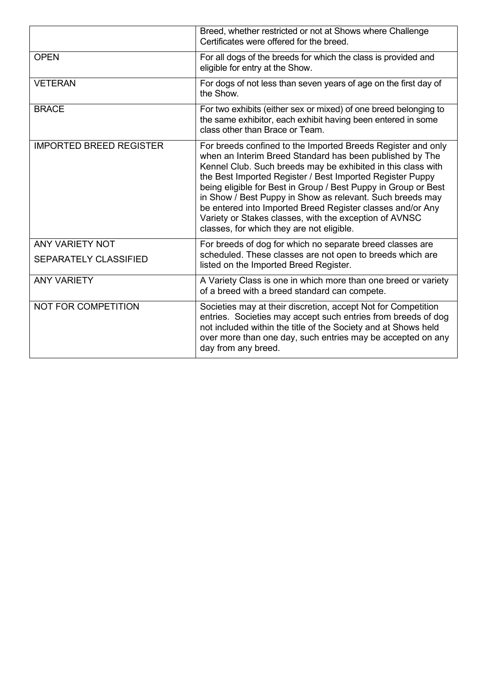|                                | Breed, whether restricted or not at Shows where Challenge<br>Certificates were offered for the breed.                                                                                                                                                                                                                                                                                                                                                                                                                                                     |
|--------------------------------|-----------------------------------------------------------------------------------------------------------------------------------------------------------------------------------------------------------------------------------------------------------------------------------------------------------------------------------------------------------------------------------------------------------------------------------------------------------------------------------------------------------------------------------------------------------|
| <b>OPEN</b>                    | For all dogs of the breeds for which the class is provided and<br>eligible for entry at the Show.                                                                                                                                                                                                                                                                                                                                                                                                                                                         |
| <b>VETERAN</b>                 | For dogs of not less than seven years of age on the first day of<br>the Show.                                                                                                                                                                                                                                                                                                                                                                                                                                                                             |
| <b>BRACE</b>                   | For two exhibits (either sex or mixed) of one breed belonging to<br>the same exhibitor, each exhibit having been entered in some<br>class other than Brace or Team.                                                                                                                                                                                                                                                                                                                                                                                       |
| <b>IMPORTED BREED REGISTER</b> | For breeds confined to the Imported Breeds Register and only<br>when an Interim Breed Standard has been published by The<br>Kennel Club. Such breeds may be exhibited in this class with<br>the Best Imported Register / Best Imported Register Puppy<br>being eligible for Best in Group / Best Puppy in Group or Best<br>in Show / Best Puppy in Show as relevant. Such breeds may<br>be entered into Imported Breed Register classes and/or Any<br>Variety or Stakes classes, with the exception of AVNSC<br>classes, for which they are not eligible. |
| <b>ANY VARIETY NOT</b>         | For breeds of dog for which no separate breed classes are                                                                                                                                                                                                                                                                                                                                                                                                                                                                                                 |
| <b>SEPARATELY CLASSIFIED</b>   | scheduled. These classes are not open to breeds which are<br>listed on the Imported Breed Register.                                                                                                                                                                                                                                                                                                                                                                                                                                                       |
| <b>ANY VARIETY</b>             | A Variety Class is one in which more than one breed or variety<br>of a breed with a breed standard can compete.                                                                                                                                                                                                                                                                                                                                                                                                                                           |
| <b>NOT FOR COMPETITION</b>     | Societies may at their discretion, accept Not for Competition<br>entries. Societies may accept such entries from breeds of dog<br>not included within the title of the Society and at Shows held<br>over more than one day, such entries may be accepted on any<br>day from any breed.                                                                                                                                                                                                                                                                    |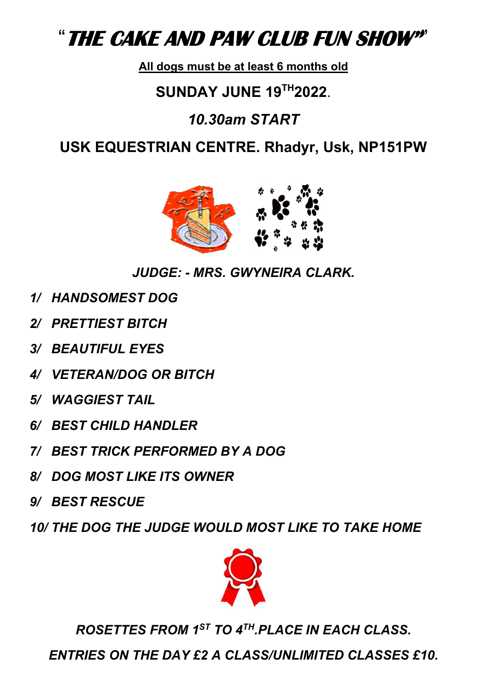# "**THE CAKE AND PAW CLUB FUN SHOW"**"

## **All dogs must be at least 6 months old**

# **SUNDAY JUNE 19TH2022**.

# *10.30am START*

# **USK EQUESTRIAN CENTRE. Rhadyr, Usk, NP151PW**



*JUDGE: - MRS. GWYNEIRA CLARK.* 

- *1/ HANDSOMEST DOG*
- *2/ PRETTIEST BITCH*
- *3/ BEAUTIFUL EYES*
- *4/ VETERAN/DOG OR BITCH*
- *5/ WAGGIEST TAIL*
- *6/ BEST CHILD HANDLER*
- *7/ BEST TRICK PERFORMED BY A DOG*
- *8/ DOG MOST LIKE ITS OWNER*
- *9/ BEST RESCUE*
- *10/ THE DOG THE JUDGE WOULD MOST LIKE TO TAKE HOME*



*ROSETTES FROM 1ST TO 4TH.PLACE IN EACH CLASS.* 

*ENTRIES ON THE DAY £2 A CLASS/UNLIMITED CLASSES £10.*